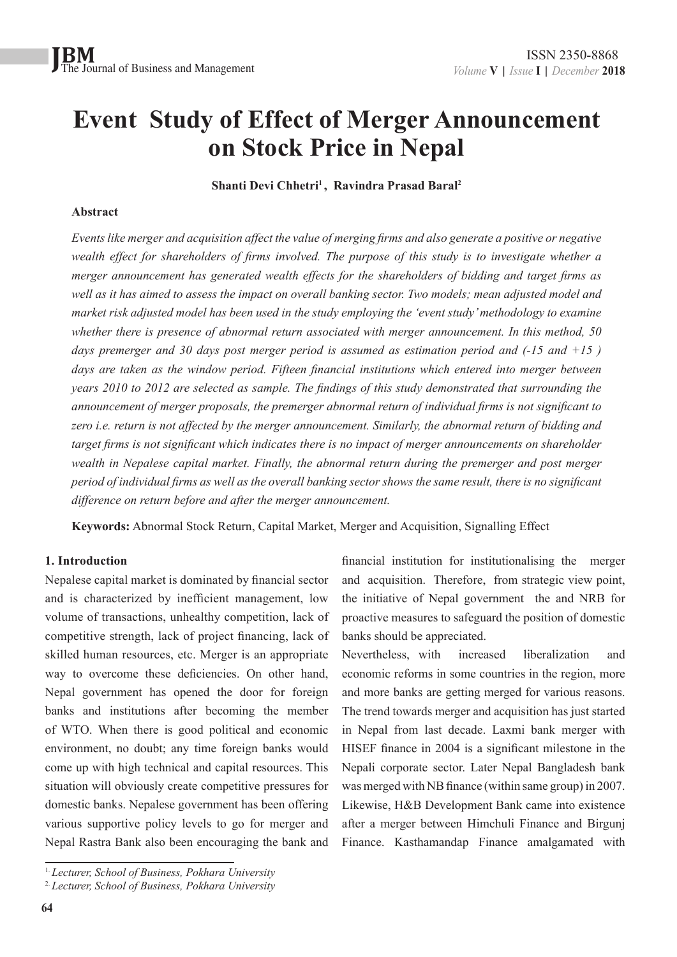## **Event Study of Effect of Merger Announcement on Stock Price in Nepal**

**Shanti Devi Chhetri1 , Ravindra Prasad Baral2**

#### **Abstract**

*Events like merger and acquisition affect the value of merging firms and also generate a positive or negative wealth effect for shareholders of firms involved. The purpose of this study is to investigate whether a merger announcement has generated wealth effects for the shareholders of bidding and target firms as well as it has aimed to assess the impact on overall banking sector. Two models; mean adjusted model and market risk adjusted model has been used in the study employing the 'event study' methodology to examine whether there is presence of abnormal return associated with merger announcement. In this method, 50 days premerger and 30 days post merger period is assumed as estimation period and (-15 and +15 )*  days are taken as the window period. Fifteen financial institutions which entered into merger between *years 2010 to 2012 are selected as sample. The findings of this study demonstrated that surrounding the announcement of merger proposals, the premerger abnormal return of individual firms is not significant to zero i.e. return is not affected by the merger announcement. Similarly, the abnormal return of bidding and target firms is not significant which indicates there is no impact of merger announcements on shareholder wealth in Nepalese capital market. Finally, the abnormal return during the premerger and post merger period of individual firms as well as the overall banking sector shows the same result, there is no significant difference on return before and after the merger announcement.*

**Keywords:** Abnormal Stock Return, Capital Market, Merger and Acquisition, Signalling Effect

#### **1. Introduction**

Nepalese capital market is dominated by financial sector and is characterized by inefficient management, low volume of transactions, unhealthy competition, lack of competitive strength, lack of project financing, lack of skilled human resources, etc. Merger is an appropriate way to overcome these deficiencies. On other hand, Nepal government has opened the door for foreign banks and institutions after becoming the member of WTO. When there is good political and economic environment, no doubt; any time foreign banks would come up with high technical and capital resources. This situation will obviously create competitive pressures for domestic banks. Nepalese government has been offering various supportive policy levels to go for merger and Nepal Rastra Bank also been encouraging the bank and

Nevertheless, with increased liberalization and economic reforms in some countries in the region, more and more banks are getting merged for various reasons. The trend towards merger and acquisition has just started in Nepal from last decade. Laxmi bank merger with HISEF finance in 2004 is a significant milestone in the Nepali corporate sector. Later Nepal Bangladesh bank was merged with NB finance (within same group) in 2007. Likewise, H&B Development Bank came into existence after a merger between Himchuli Finance and Birgunj Finance. Kasthamandap Finance amalgamated with

financial institution for institutionalising the merger and acquisition. Therefore, from strategic view point, the initiative of Nepal government the and NRB for proactive measures to safeguard the position of domestic banks should be appreciated.

<sup>1.</sup> *Lecturer, School of Business, Pokhara University*

<sup>2.</sup> *Lecturer, School of Business, Pokhara University*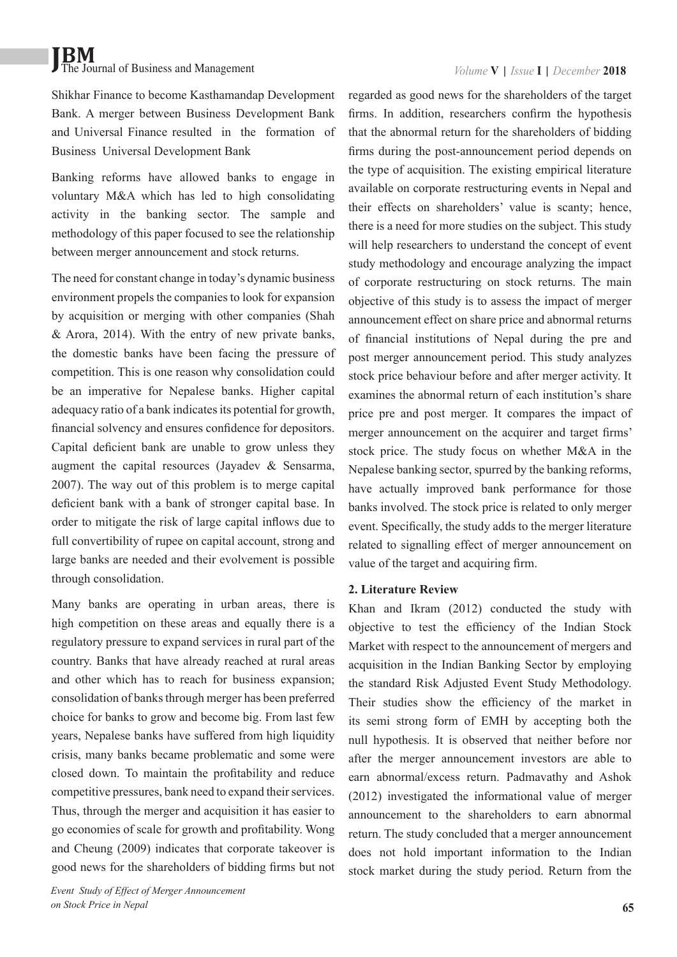Shikhar Finance to become Kasthamandap Development Bank. A merger between Business Development Bank and Universal Finance resulted in the formation of Business Universal Development Bank

Banking reforms have allowed banks to engage in voluntary M&A which has led to high consolidating activity in the banking sector. The sample and methodology of this paper focused to see the relationship between merger announcement and stock returns.

The need for constant change in today's dynamic business environment propels the companies to look for expansion by acquisition or merging with other companies (Shah & Arora, 2014). With the entry of new private banks, the domestic banks have been facing the pressure of competition. This is one reason why consolidation could be an imperative for Nepalese banks. Higher capital adequacy ratio of a bank indicates its potential for growth, financial solvency and ensures confidence for depositors. Capital deficient bank are unable to grow unless they augment the capital resources (Jayadev & Sensarma, 2007). The way out of this problem is to merge capital deficient bank with a bank of stronger capital base. In order to mitigate the risk of large capital inflows due to full convertibility of rupee on capital account, strong and large banks are needed and their evolvement is possible through consolidation.

Many banks are operating in urban areas, there is high competition on these areas and equally there is a regulatory pressure to expand services in rural part of the country. Banks that have already reached at rural areas and other which has to reach for business expansion; consolidation of banks through merger has been preferred choice for banks to grow and become big. From last few years, Nepalese banks have suffered from high liquidity crisis, many banks became problematic and some were closed down. To maintain the profitability and reduce competitive pressures, bank need to expand their services. Thus, through the merger and acquisition it has easier to go economies of scale for growth and profitability. Wong and Cheung (2009) indicates that corporate takeover is good news for the shareholders of bidding firms but not regarded as good news for the shareholders of the target firms. In addition, researchers confirm the hypothesis that the abnormal return for the shareholders of bidding firms during the post-announcement period depends on the type of acquisition. The existing empirical literature available on corporate restructuring events in Nepal and their effects on shareholders' value is scanty; hence, there is a need for more studies on the subject. This study will help researchers to understand the concept of event study methodology and encourage analyzing the impact of corporate restructuring on stock returns. The main objective of this study is to assess the impact of merger announcement effect on share price and abnormal returns of financial institutions of Nepal during the pre and post merger announcement period. This study analyzes stock price behaviour before and after merger activity. It examines the abnormal return of each institution's share price pre and post merger. It compares the impact of merger announcement on the acquirer and target firms' stock price. The study focus on whether M&A in the Nepalese banking sector, spurred by the banking reforms, have actually improved bank performance for those banks involved. The stock price is related to only merger event. Specifically, the study adds to the merger literature related to signalling effect of merger announcement on value of the target and acquiring firm.

#### **2. Literature Review**

Khan and Ikram (2012) conducted the study with objective to test the efficiency of the Indian Stock Market with respect to the announcement of mergers and acquisition in the Indian Banking Sector by employing the standard Risk Adjusted Event Study Methodology. Their studies show the efficiency of the market in its semi strong form of EMH by accepting both the null hypothesis. It is observed that neither before nor after the merger announcement investors are able to earn abnormal/excess return. Padmavathy and Ashok (2012) investigated the informational value of merger announcement to the shareholders to earn abnormal return. The study concluded that a merger announcement does not hold important information to the Indian stock market during the study period. Return from the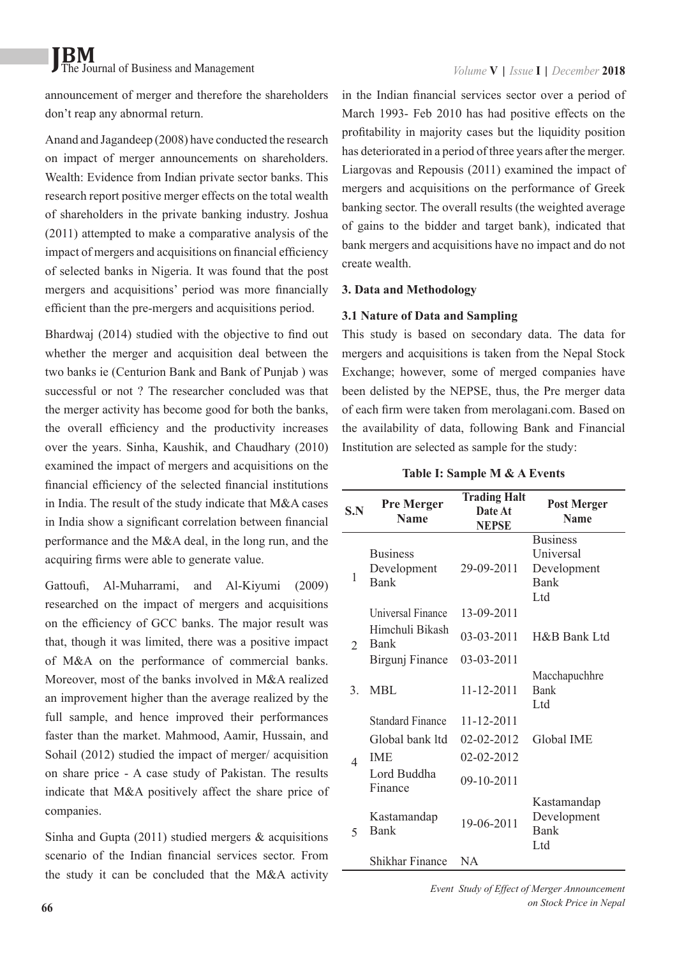announcement of merger and therefore the shareholders don't reap any abnormal return.

Anand and Jagandeep (2008) have conducted the research on impact of merger announcements on shareholders. Wealth: Evidence from Indian private sector banks. This research report positive merger effects on the total wealth of shareholders in the private banking industry. Joshua (2011) attempted to make a comparative analysis of the impact of mergers and acquisitions on financial efficiency of selected banks in Nigeria. It was found that the post mergers and acquisitions' period was more financially efficient than the pre-mergers and acquisitions period.

Bhardwaj (2014) studied with the objective to find out whether the merger and acquisition deal between the two banks ie (Centurion Bank and Bank of Punjab ) was successful or not ? The researcher concluded was that the merger activity has become good for both the banks, the overall efficiency and the productivity increases over the years. Sinha, Kaushik, and Chaudhary (2010) examined the impact of mergers and acquisitions on the financial efficiency of the selected financial institutions in India. The result of the study indicate that M&A cases in India show a significant correlation between financial performance and the M&A deal, in the long run, and the acquiring firms were able to generate value.

Gattoufi, Al-Muharrami, and Al-Kiyumi (2009) researched on the impact of mergers and acquisitions on the efficiency of GCC banks. The major result was that, though it was limited, there was a positive impact of M&A on the performance of commercial banks. Moreover, most of the banks involved in M&A realized an improvement higher than the average realized by the full sample, and hence improved their performances faster than the market. Mahmood, Aamir, Hussain, and Sohail (2012) studied the impact of merger/ acquisition on share price - A case study of Pakistan. The results indicate that M&A positively affect the share price of companies.

Sinha and Gupta  $(2011)$  studied mergers & acquisitions scenario of the Indian financial services sector. From the study it can be concluded that the M&A activity in the Indian financial services sector over a period of March 1993- Feb 2010 has had positive effects on the profitability in majority cases but the liquidity position has deteriorated in a period of three years after the merger. Liargovas and Repousis (2011) examined the impact of mergers and acquisitions on the performance of Greek banking sector. The overall results (the weighted average of gains to the bidder and target bank), indicated that bank mergers and acquisitions have no impact and do not create wealth.

#### **3. Data and Methodology**

#### **3.1 Nature of Data and Sampling**

This study is based on secondary data. The data for mergers and acquisitions is taken from the Nepal Stock Exchange; however, some of merged companies have been delisted by the NEPSE, thus, the Pre merger data of each firm were taken from merolagani.com. Based on the availability of data, following Bank and Financial Institution are selected as sample for the study:

| Table I: Sample M & A Events |  |  |  |  |
|------------------------------|--|--|--|--|
|------------------------------|--|--|--|--|

| S.N           | <b>Pre Merger</b><br><b>Name</b> | <b>Trading Halt</b><br>Date At<br><b>NEPSE</b> | <b>Post Merger</b><br><b>Name</b> |
|---------------|----------------------------------|------------------------------------------------|-----------------------------------|
|               |                                  |                                                | <b>Business</b>                   |
|               | <b>Business</b>                  |                                                | <b>Universal</b>                  |
| 1             | Development                      | 29-09-2011                                     | Development                       |
|               | <b>Bank</b>                      |                                                | <b>Bank</b>                       |
|               |                                  |                                                | Ltd                               |
|               | Universal Finance                | 13-09-2011                                     |                                   |
|               | Himchuli Bikash<br><b>Bank</b>   | 03-03-2011                                     | H&B Bank Ltd                      |
| $\mathcal{D}$ |                                  | 03-03-2011                                     |                                   |
|               | Birgunj Finance                  |                                                |                                   |
| 3             | MBL                              | 11-12-2011                                     | Macchapuchhre<br><b>Bank</b>      |
|               |                                  |                                                | Ltd                               |
|               | <b>Standard Finance</b>          | 11-12-2011                                     |                                   |
|               | Global bank ltd                  | 02-02-2012                                     | <b>Global IME</b>                 |
| $\Delta$      | <b>IME</b>                       | 02-02-2012                                     |                                   |
|               | Lord Buddha                      |                                                |                                   |
|               | Finance                          | 09-10-2011                                     |                                   |
|               |                                  |                                                | Kastamandap                       |
|               | Kastamandap                      | 19-06-2011                                     | Development                       |
| 5             | <b>Bank</b>                      |                                                | Bank                              |
|               |                                  |                                                | Ltd                               |
|               | Shikhar Finance                  | NA                                             |                                   |

*Event Study of Effect of Merger Announcement on Stock Price in Nepal*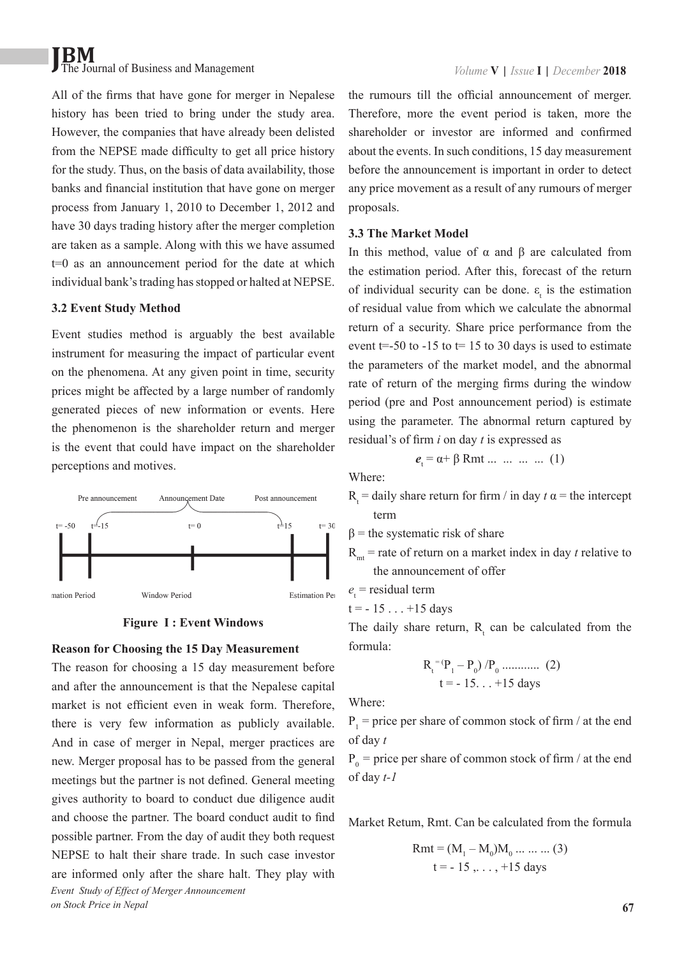All of the firms that have gone for merger in Nepalese history has been tried to bring under the study area. However, the companies that have already been delisted from the NEPSE made difficulty to get all price history for the study. Thus, on the basis of data availability, those banks and financial institution that have gone on merger process from January 1, 2010 to December 1, 2012 and have 30 days trading history after the merger completion are taken as a sample. Along with this we have assumed t=0 as an announcement period for the date at which individual bank's trading has stopped or halted at NEPSE.

#### **3.2 Event Study Method**

Event studies method is arguably the best available instrument for measuring the impact of particular event on the phenomena. At any given point in time, security prices might be affected by a large number of randomly generated pieces of new information or events. Here the phenomenon is the shareholder return and merger is the event that could have impact on the shareholder perceptions and motives.



#### **Figure I : Event Windows**

#### **Reason for Choosing the 15 Day Measurement**

The reason for choosing a 15 day measurement before and after the announcement is that the Nepalese capital market is not efficient even in weak form. Therefore, there is very few information as publicly available. And in case of merger in Nepal, merger practices are new. Merger proposal has to be passed from the general meetings but the partner is not defined. General meeting gives authority to board to conduct due diligence audit and choose the partner. The board conduct audit to find possible partner. From the day of audit they both request NEPSE to halt their share trade. In such case investor are informed only after the share halt. They play with *Event Study of Effect of Merger Announcement on Stock Price in Nepal*

the rumours till the official announcement of merger. Therefore, more the event period is taken, more the shareholder or investor are informed and confirmed about the events. In such conditions, 15 day measurement before the announcement is important in order to detect any price movement as a result of any rumours of merger proposals.

#### **3.3 The Market Model**

In this method, value of α and β are calculated from the estimation period. After this, forecast of the return of individual security can be done.  $\varepsilon_t$  is the estimation of residual value from which we calculate the abnormal return of a security. Share price performance from the event  $t=-50$  to  $-15$  to  $t=15$  to 30 days is used to estimate the parameters of the market model, and the abnormal rate of return of the merging firms during the window period (pre and Post announcement period) is estimate using the parameter. The abnormal return captured by residual's of firm *i* on day *t* is expressed as

$$
e_t = \alpha + \beta Rmt \dots \dots \dots \dots \dots (1)
$$

Where:

- $R<sub>t</sub>$  = daily share return for firm / in day  $t \alpha$  = the intercept term
- $β =$  the systematic risk of share
- $R_{m}$  = rate of return on a market index in day *t* relative to the announcement of offer

 $e_t$  = residual term

$$
t = -15 \dots +15 \text{ days}
$$

The daily share return,  $R_t$  can be calculated from the formula:

$$
R_t^{=(P_1 - P_0) / P_0 \dots (2)}
$$
  
t = -15... +15 days

Where:

 $P_1$  = price per share of common stock of firm / at the end of day *t*

 $P_0$  = price per share of common stock of firm / at the end of day *t-1*

Market Retum, Rmt. Can be calculated from the formula

Rmt = 
$$
(M_1 - M_0)M_0 \dots \dots \dots (3)
$$
  
t = -15, ..., +15 days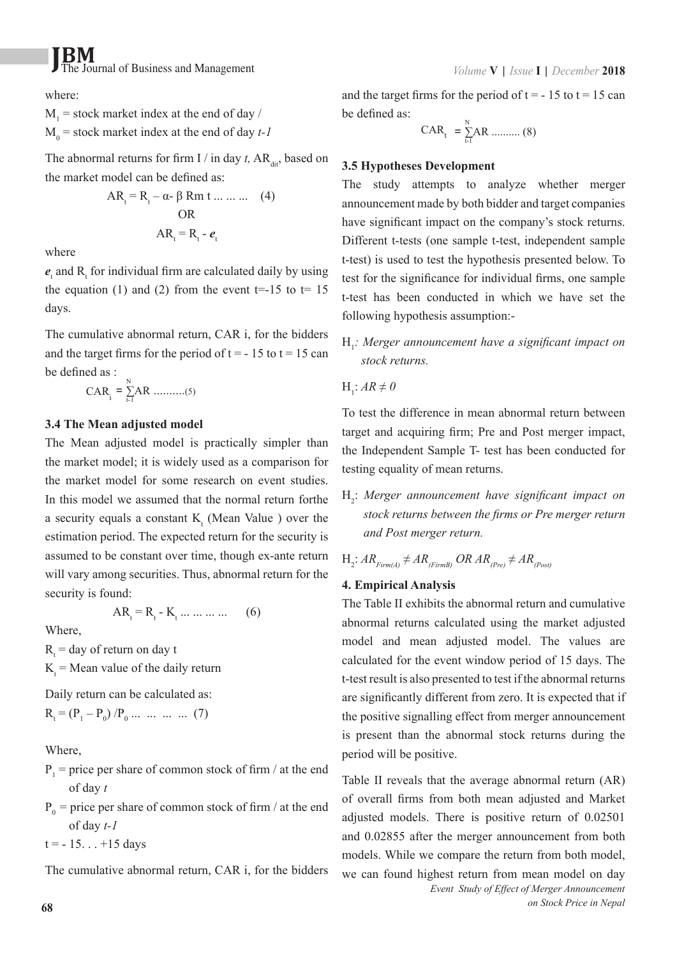where:

 $M_1$  = stock market index at the end of day /  $M_0$  = stock market index at the end of day  $t$ -1

The abnormal returns for firm I / in day  $t$ , AR<sub>dit</sub>, based on the market model can be defined as:

$$
AR_{t} = R_{t} - \alpha - \beta Rm t \dots \dots \dots \quad (4)
$$
  
OR  

$$
AR_{t} = R_{t} - e_{t}
$$

where

 $e_t$  and  $R_t$  for individual firm are calculated daily by using the equation (1) and (2) from the event  $t=15$  to  $t=15$ days.

The cumulative abnormal return, CAR i, for the bidders and the target firms for the period of  $t = -15$  to  $t = 15$  can be defined as  $\cdot$ 

$$
CAR_{i} = \sum_{t=1}^{N} AR \dots (5)
$$

#### **3.4 The Mean adjusted model**

The Mean adjusted model is practically simpler than the market model; it is widely used as a comparison for the market model for some research on event studies. In this model we assumed that the normal return forthe a security equals a constant  $K_t$  (Mean Value ) over the estimation period. The expected return for the security is assumed to be constant over time, though ex-ante return will vary among securities. Thus, abnormal return for the security is found:

$$
AR_t = R_t - K_t \dots \dots \dots \tag{6}
$$

Where,

 $R_t$  = day of return on day t

 $K_t$  = Mean value of the daily return

Daily return can be calculated as:

$$
R_{t} = (P_{1} - P_{0}) / P_{0} \dots \dots \dots \dots (7)
$$

Where,

- $P_1$  = price per share of common stock of firm / at the end of day *t*
- $P_0$  = price per share of common stock of firm / at the end of day *t-1*

 $t = -15... +15$  days

The cumulative abnormal return, CAR i, for the bidders

and the target firms for the period of  $t = -15$  to  $t = 15$  can be defined as:

$$
CAR_{t} = \sum_{t=1}^{N} AR \dots (8)
$$

#### **3.5 Hypotheses Development**

The study attempts to analyze whether merger announcement made by both bidder and target companies have significant impact on the company's stock returns. Different t-tests (one sample t-test, independent sample t-test) is used to test the hypothesis presented below. To test for the significance for individual firms, one sample t-test has been conducted in which we have set the following hypothesis assumption:-

H<sub>1</sub>: Merger announcement have a significant impact on *stock returns.*

 $H_1$ :  $AR \neq 0$ 

To test the difference in mean abnormal return between target and acquiring firm; Pre and Post merger impact, the Independent Sample T- test has been conducted for testing equality of mean returns.

H<sub>2</sub>: Merger announcement have significant impact on *stock returns between the firms or Pre merger return and Post merger return.*

$$
H_2: AR_{Firm(A)} \neq AR_{(FirmB)} OR AR_{(Pre)} \neq AR_{(Post)}
$$

#### **4. Empirical Analysis**

The Table II exhibits the abnormal return and cumulative abnormal returns calculated using the market adjusted model and mean adjusted model. The values are calculated for the event window period of 15 days. The t-test result is also presented to test if the abnormal returns are significantly different from zero. It is expected that if the positive signalling effect from merger announcement is present than the abnormal stock returns during the period will be positive.

Table II reveals that the average abnormal return (AR) of overall firms from both mean adjusted and Market adjusted models. There is positive return of 0.02501 and 0.02855 after the merger announcement from both models. While we compare the return from both model, we can found highest return from mean model on day *Event Study of Effect of Merger Announcement*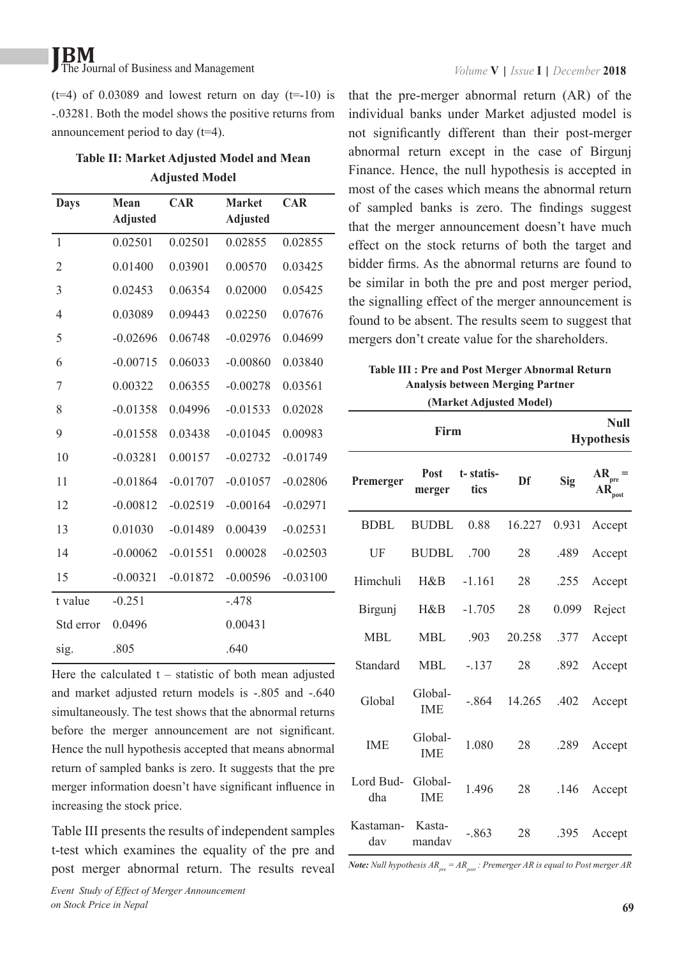$(t=4)$  of 0.03089 and lowest return on day  $(t=-10)$  is -.03281. Both the model shows the positive returns from announcement period to day (t=4).

| <b>Table II: Market Adjusted Model and Mean</b> |  |
|-------------------------------------------------|--|
| <b>Adjusted Model</b>                           |  |

| <b>Days</b>    | Mean<br><b>Adjusted</b> | <b>CAR</b> | <b>Market</b><br><b>Adjusted</b> | <b>CAR</b> |
|----------------|-------------------------|------------|----------------------------------|------------|
| $\mathbf{1}$   | 0.02501                 | 0.02501    | 0.02855                          | 0.02855    |
| $\overline{2}$ | 0.01400                 | 0.03901    | 0.00570                          | 0.03425    |
| 3              | 0.02453                 | 0.06354    | 0.02000                          | 0.05425    |
| 4              | 0.03089                 | 0.09443    | 0.02250                          | 0.07676    |
| 5              | $-0.02696$              | 0.06748    | $-0.02976$                       | 0.04699    |
| 6              | $-0.00715$              | 0.06033    | $-0.00860$                       | 0.03840    |
| 7              | 0.00322                 | 0.06355    | $-0.00278$                       | 0.03561    |
| 8              | $-0.01358$              | 0.04996    | $-0.01533$                       | 0.02028    |
| 9              | $-0.01558$              | 0.03438    | $-0.01045$                       | 0.00983    |
| 10             | $-0.03281$              | 0.00157    | $-0.02732$                       | $-0.01749$ |
| 11             | $-0.01864$              | $-0.01707$ | $-0.01057$                       | $-0.02806$ |
| 12             | $-0.00812$              | $-0.02519$ | $-0.00164$                       | $-0.02971$ |
| 13             | 0.01030                 | $-0.01489$ | 0.00439                          | $-0.02531$ |
| 14             | $-0.00062$              | $-0.01551$ | 0.00028                          | $-0.02503$ |
| 15             | $-0.00321$              | $-0.01872$ | $-0.00596$                       | $-0.03100$ |
| t value        | $-0.251$                |            | $-.478$                          |            |
| Std error      | 0.0496                  |            | 0.00431                          |            |
| sig.           | .805                    |            | .640                             |            |

Here the calculated  $t -$  statistic of both mean adjusted and market adjusted return models is -.805 and -.640 simultaneously. The test shows that the abnormal returns before the merger announcement are not significant. Hence the null hypothesis accepted that means abnormal return of sampled banks is zero. It suggests that the pre merger information doesn't have significant influence in increasing the stock price.

Table III presents the results of independent samples t-test which examines the equality of the pre and post merger abnormal return. The results reveal

that the pre-merger abnormal return (AR) of the individual banks under Market adjusted model is not significantly different than their post-merger abnormal return except in the case of Birgunj Finance. Hence, the null hypothesis is accepted in most of the cases which means the abnormal return of sampled banks is zero. The findings suggest that the merger announcement doesn't have much effect on the stock returns of both the target and bidder firms. As the abnormal returns are found to be similar in both the pre and post merger period, the signalling effect of the merger announcement is found to be absent. The results seem to suggest that mergers don't create value for the shareholders.

**Table III : Pre and Post Merger Abnormal Return Analysis between Merging Partner (Market Adjusted Model)**

| Firm                     |                       |                   |             |       | <b>Null</b><br><b>Hypothesis</b> |
|--------------------------|-----------------------|-------------------|-------------|-------|----------------------------------|
| Premerger                | Post<br>merger        | t-statis-<br>tics | Df          | Sig   | $AR_{pre} =$<br>AR<br>post       |
| <b>BDBL</b>              | <b>BUDBL</b>          | 0.88              | 16.227      | 0.931 | Accept                           |
| UF                       | <b>BUDBL</b>          | .700              | 28          | .489  | Accept                           |
| Himchuli                 | $H\&B$                | $-1.161$          | 28          | .255  | Accept                           |
| Birgunj                  | $H\&B$                | $-1.705$          | 28          | 0.099 | Reject                           |
| <b>MBL</b>               | <b>MBL</b>            | .903              | 20.258      | .377  | Accept                           |
| Standard                 | <b>MBL</b>            | $-.137$           | 28          | .892  | Accept                           |
| Global                   | Global-<br><b>IME</b> | -.864             | 14.265 .402 |       | Accept                           |
| <b>IME</b>               | Global-<br><b>IME</b> | 1.080             | 28          | .289  | Accept                           |
| Lord Bud- Global-<br>dha | <b>IME</b>            | 1.496             | 28          |       | $.146$ Accept                    |
| Kastaman- Kasta-<br>dav  | mandav                | $-.863$           | 28          | .395  | Accept                           |

*Note: Null hypothesis*  $AR_m = AR_m$ *: Premerger AR is equal to Post merger AR*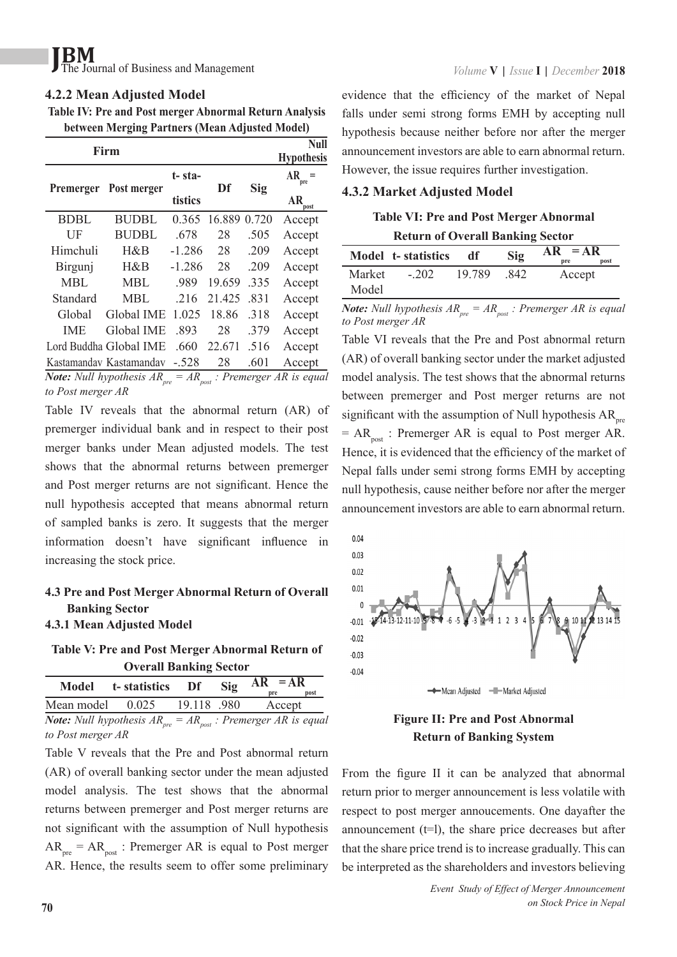#### **4.2.2 Mean Adjusted Model**

**Table IV: Pre and Post merger Abnormal Return Analysis between Merging Partners (Mean Adjusted Model)**

| Firm        |                                                                       |          |        | Null<br><b>Hypothesis</b> |                                        |
|-------------|-----------------------------------------------------------------------|----------|--------|---------------------------|----------------------------------------|
| Premerger   | Post merger                                                           | t-sta-   | Df     | Sig                       | $AR =$<br>pre                          |
|             |                                                                       | tistics  |        |                           | AR<br>post                             |
| <b>BDBL</b> | <b>BUDBL</b>                                                          | 0.365    | 16.889 | 0.720                     | Accept                                 |
| UF          | <b>BUDBL</b>                                                          | .678     | 28     | .505                      | Accept                                 |
| Himchuli    | H&B                                                                   | $-1.286$ | 28     | .209                      | Accept                                 |
| Birgunj     | $H\&B$                                                                | $-1.286$ | 28     | .209                      | Accept                                 |
| <b>MBL</b>  | <b>MBL</b>                                                            | .989     | 19.659 | .335                      | Accept                                 |
| Standard    | <b>MBL</b>                                                            | .216     | 21.425 | .831                      | Accept                                 |
| Global      | Global IME                                                            | 1.025    | 18.86  | .318                      | Accept                                 |
| <b>IME</b>  | <b>Global IME</b>                                                     | .893     | 28     | 379                       | Accept                                 |
|             | Lord Buddha Global IME                                                | .660     | 22.671 | .516                      | Accept                                 |
|             | Kastamandav Kastamandav                                               | $-528$   | 28     | .601                      | Accept                                 |
|             | $N_{\text{max}}$ $N_{\text{L}}$ $U_{\text{max}}$ $U_{\text{max}}$ $D$ | $-4D$    |        |                           | $\therefore$ Decreases are as $AD = -$ |

*Note: Null hypothesis*  $AR_{pre} = AR_{post}$  *: Premerger AR is equal to Post merger AR*

Table IV reveals that the abnormal return (AR) of premerger individual bank and in respect to their post merger banks under Mean adjusted models. The test shows that the abnormal returns between premerger and Post merger returns are not significant. Hence the null hypothesis accepted that means abnormal return of sampled banks is zero. It suggests that the merger information doesn't have significant influence in increasing the stock price.

#### **4.3 Pre and Post Merger Abnormal Return of Overall Banking Sector**

#### **4.3.1 Mean Adjusted Model**

**Table V: Pre and Post Merger Abnormal Return of** 

| <b>Overall Banking Sector</b> |                       |             |     |                                                                    |  |
|-------------------------------|-----------------------|-------------|-----|--------------------------------------------------------------------|--|
|                               | Model t-statistics Df |             | Sig | $AR = AR$<br>post<br>pre                                           |  |
| Mean model 0.025              |                       | 19.118 .980 |     | Accept                                                             |  |
|                               |                       |             |     | <b>Note:</b> Null hypothesis $AR = AR \cdot$ Premerger AR is equal |  |

*Note: Null hypothesis ARpre = AR post : Premerger AR is equal to Post merger AR*

Table V reveals that the Pre and Post abnormal return (AR) of overall banking sector under the mean adjusted model analysis. The test shows that the abnormal returns between premerger and Post merger returns are not significant with the assumption of Null hypothesis  $AR<sub>pre</sub> = AR<sub>post</sub>$ : Premerger AR is equal to Post merger AR. Hence, the results seem to offer some preliminary

evidence that the efficiency of the market of Nepal falls under semi strong forms EMH by accepting null hypothesis because neither before nor after the merger announcement investors are able to earn abnormal return. However, the issue requires further investigation.

#### **4.3.2 Market Adjusted Model**

### **Table VI: Pre and Post Merger Abnormal**

**Return of Overall Banking Sector**

|        | Model t-statistics | df     | Sig | AR<br>$=AR$<br>post<br>pre |
|--------|--------------------|--------|-----|----------------------------|
| Market | $-202$             | 19.789 | 842 | Accept                     |
| Model  |                    |        |     |                            |

*Note: Null hypothesis*  $AR_{pre} = AR_{post}$ : *Premerger AR is equal to Post merger AR*

Table VI reveals that the Pre and Post abnormal return (AR) of overall banking sector under the market adjusted model analysis. The test shows that the abnormal returns between premerger and Post merger returns are not significant with the assumption of Null hypothesis  $AR_{pre}$  $= AR_{\text{host}}$ : Premerger AR is equal to Post merger AR. Hence, it is evidenced that the efficiency of the market of Nepal falls under semi strong forms EMH by accepting null hypothesis, cause neither before nor after the merger announcement investors are able to earn abnormal return.



#### **Figure II: Pre and Post Abnormal Return of Banking System**

From the figure II it can be analyzed that abnormal return prior to merger announcement is less volatile with respect to post merger annoucements. One dayafter the announcement  $(t=1)$ , the share price decreases but after that the share price trend is to increase gradually. This can be interpreted as the shareholders and investors believing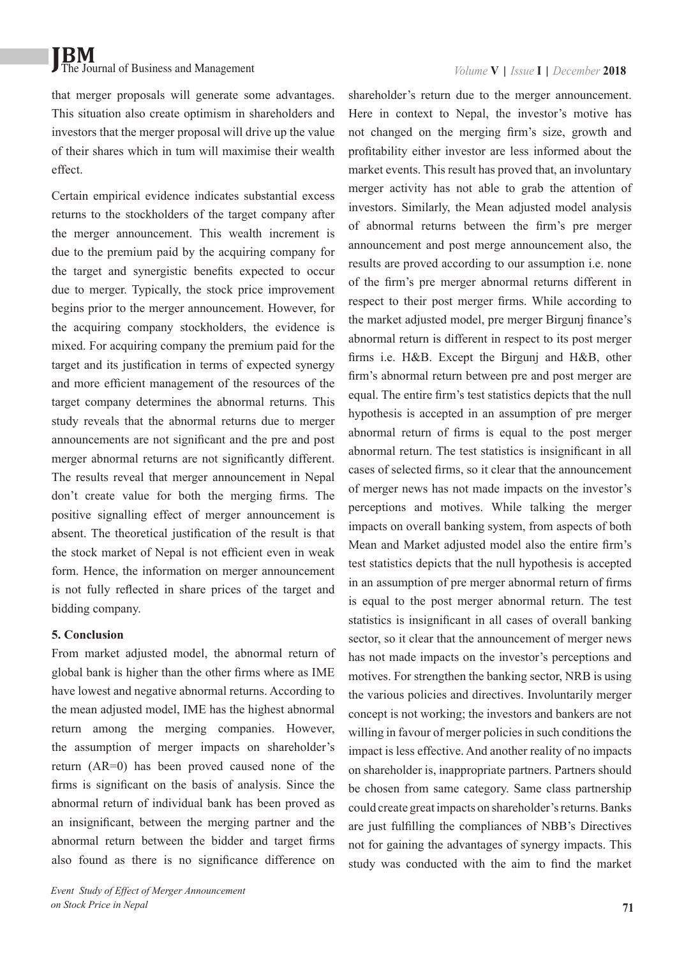that merger proposals will generate some advantages. This situation also create optimism in shareholders and investors that the merger proposal will drive up the value of their shares which in tum will maximise their wealth effect.

Certain empirical evidence indicates substantial excess returns to the stockholders of the target company after the merger announcement. This wealth increment is due to the premium paid by the acquiring company for the target and synergistic benefits expected to occur due to merger. Typically, the stock price improvement begins prior to the merger announcement. However, for the acquiring company stockholders, the evidence is mixed. For acquiring company the premium paid for the target and its justification in terms of expected synergy and more efficient management of the resources of the target company determines the abnormal returns. This study reveals that the abnormal returns due to merger announcements are not significant and the pre and post merger abnormal returns are not significantly different. The results reveal that merger announcement in Nepal don't create value for both the merging firms. The positive signalling effect of merger announcement is absent. The theoretical justification of the result is that the stock market of Nepal is not efficient even in weak form. Hence, the information on merger announcement is not fully reflected in share prices of the target and bidding company.

#### **5. Conclusion**

From market adjusted model, the abnormal return of global bank is higher than the other firms where as IME have lowest and negative abnormal returns. According to the mean adjusted model, IME has the highest abnormal return among the merging companies. However, the assumption of merger impacts on shareholder's return (AR=0) has been proved caused none of the firms is significant on the basis of analysis. Since the abnormal return of individual bank has been proved as an insignificant, between the merging partner and the abnormal return between the bidder and target firms also found as there is no significance difference on shareholder's return due to the merger announcement. Here in context to Nepal, the investor's motive has not changed on the merging firm's size, growth and profitability either investor are less informed about the market events. This result has proved that, an involuntary merger activity has not able to grab the attention of investors. Similarly, the Mean adjusted model analysis of abnormal returns between the firm's pre merger announcement and post merge announcement also, the results are proved according to our assumption i.e. none of the firm's pre merger abnormal returns different in respect to their post merger firms. While according to the market adjusted model, pre merger Birgunj finance's abnormal return is different in respect to its post merger firms i.e. H&B. Except the Birgunj and H&B, other firm's abnormal return between pre and post merger are equal. The entire firm's test statistics depicts that the null hypothesis is accepted in an assumption of pre merger abnormal return of firms is equal to the post merger abnormal return. The test statistics is insignificant in all cases of selected firms, so it clear that the announcement of merger news has not made impacts on the investor's perceptions and motives. While talking the merger impacts on overall banking system, from aspects of both Mean and Market adjusted model also the entire firm's test statistics depicts that the null hypothesis is accepted in an assumption of pre merger abnormal return of firms is equal to the post merger abnormal return. The test statistics is insignificant in all cases of overall banking sector, so it clear that the announcement of merger news has not made impacts on the investor's perceptions and motives. For strengthen the banking sector, NRB is using the various policies and directives. Involuntarily merger concept is not working; the investors and bankers are not willing in favour of merger policies in such conditions the impact is less effective. And another reality of no impacts on shareholder is, inappropriate partners. Partners should be chosen from same category. Same class partnership could create great impacts on shareholder's returns. Banks are just fulfilling the compliances of NBB's Directives not for gaining the advantages of synergy impacts. This study was conducted with the aim to find the market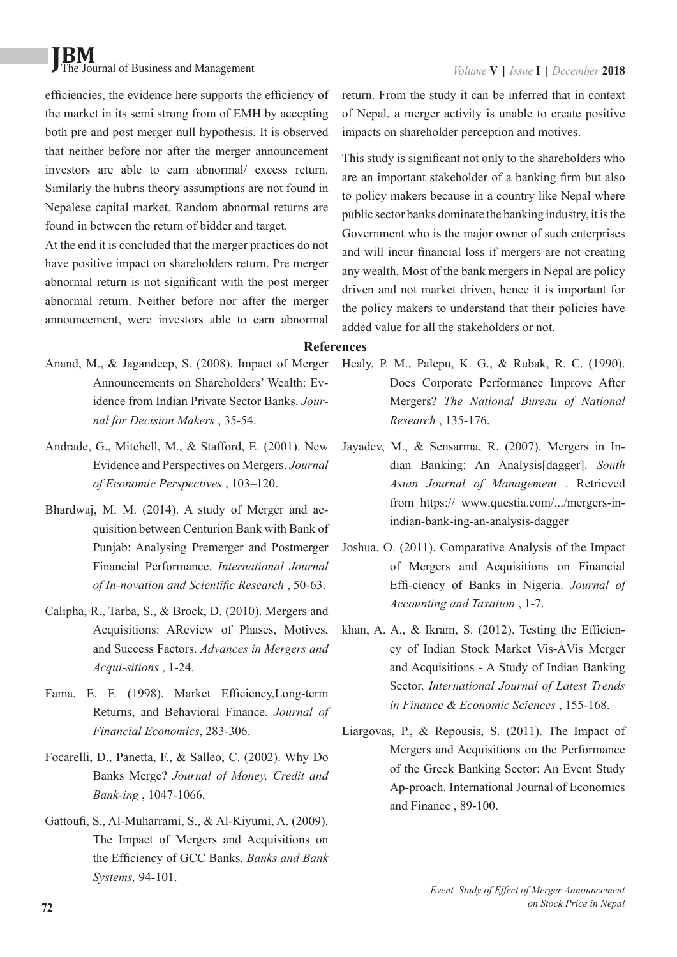efficiencies, the evidence here supports the efficiency of the market in its semi strong from of EMH by accepting both pre and post merger null hypothesis. It is observed that neither before nor after the merger announcement investors are able to earn abnormal/ excess return. Similarly the hubris theory assumptions are not found in Nepalese capital market. Random abnormal returns are found in between the return of bidder and target.

At the end it is concluded that the merger practices do not have positive impact on shareholders return. Pre merger abnormal return is not significant with the post merger abnormal return. Neither before nor after the merger announcement, were investors able to earn abnormal return. From the study it can be inferred that in context of Nepal, a merger activity is unable to create positive impacts on shareholder perception and motives.

This study is significant not only to the shareholders who are an important stakeholder of a banking firm but also to policy makers because in a country like Nepal where public sector banks dominate the banking industry, it is the Government who is the major owner of such enterprises and will incur financial loss if mergers are not creating any wealth. Most of the bank mergers in Nepal are policy driven and not market driven, hence it is important for the policy makers to understand that their policies have added value for all the stakeholders or not.

#### **References**

- Anand, M., & Jagandeep, S. (2008). Impact of Merger Announcements on Shareholders' Wealth: Evidence from Indian Private Sector Banks. *Journal for Decision Makers* , 35-54.
- Andrade, G., Mitchell, M., & Stafford, E. (2001). New Evidence and Perspectives on Mergers. *Journal of Economic Perspectives* , 103–120.
- Bhardwaj, M. M. (2014). A study of Merger and acquisition between Centurion Bank with Bank of Punjab: Analysing Premerger and Postmerger Financial Performance. *International Journal of In-novation and Scientific Research* , 50-63.
- Calipha, R., Tarba, S., & Brock, D. (2010). Mergers and Acquisitions: AReview of Phases, Motives, and Success Factors. *Advances in Mergers and Acqui-sitions* , 1-24.
- Fama, E. F. (1998). Market Efficiency,Long-term Returns, and Behavioral Finance. *Journal of Financial Economics*, 283-306.
- Focarelli, D., Panetta, F., & Salleo, C. (2002). Why Do Banks Merge? *Journal of Money, Credit and Bank-ing* , 1047-1066.
- Gattoufi, S., Al-Muharrami, S., & Al-Kiyumi, A. (2009). The Impact of Mergers and Acquisitions on the Efficiency of GCC Banks. *Banks and Bank Systems,* 94-101.
- Healy, P. M., Palepu, K. G., & Rubak, R. C. (1990). Does Corporate Performance Improve After Mergers? *The National Bureau of National Research* , 135-176.
- Jayadev, M., & Sensarma, R. (2007). Mergers in Indian Banking: An Analysis[dagger]. *South Asian Journal of Management* . Retrieved from https:// www.questia.com/.../mergers-inindian-bank-ing-an-analysis-dagger
- Joshua, O. (2011). Comparative Analysis of the Impact of Mergers and Acquisitions on Financial Effi-ciency of Banks in Nigeria. *Journal of Accounting and Taxation* , 1-7.
- khan, A. A., & Ikram, S. (2012). Testing the Efficiency of Indian Stock Market Vis-ÀVis Merger and Acquisitions - A Study of Indian Banking Sector. *International Journal of Latest Trends in Finance & Economic Sciences* , 155-168.
- Liargovas, P., & Repousis, S. (2011). The Impact of Mergers and Acquisitions on the Performance of the Greek Banking Sector: An Event Study Ap-proach. International Journal of Economics and Finance , 89-100.